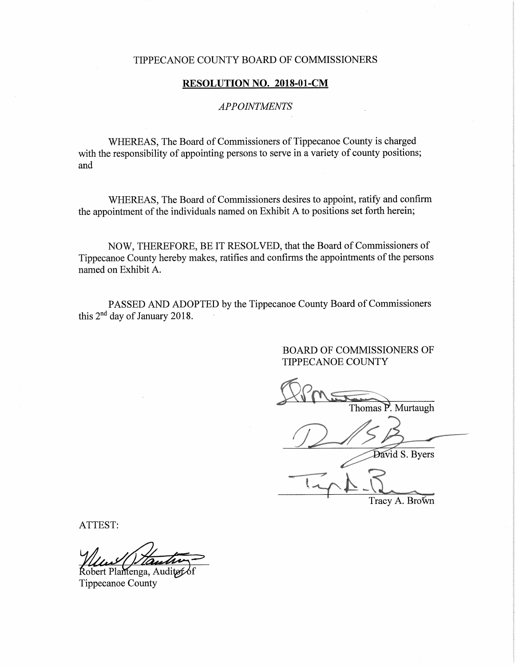## TIPPECANOE COUNTY'BOARD OF COMMISSIONERS

## RESOLUTION NO. 2018-01-CM

# APPOINTMENTS

WHEREAS, The Board of Commissioners of Tippecanoe County is charged with the responsibility of appointing persons to serve in a variety of county positions; and

WHEREAS, The Board of Commissioners desires to appoint, ratify and confirm the appointment of the individuals named on Exhibit A to positions set forth herein;

NOW, THEREFORE, BE IT RESOLVED, that the Board of Commissioners of Tippecanoe County hereby makes, ratifies and confirms the appointments of the persons named on Exhibit A.

PASSED AND ADOPTED by the Tippecanoe County Board of Commissioners this 2nd day of January 2018.

> BOARD OF COMMISSIONERS OF TIPPECANOE COUNTY

Thomas P. Murtaugh

David S. Byers  $\sim$ 

Tracy A. Brown

ATTEST:

Robert Plantenga, Auditøf Tippecanoe County